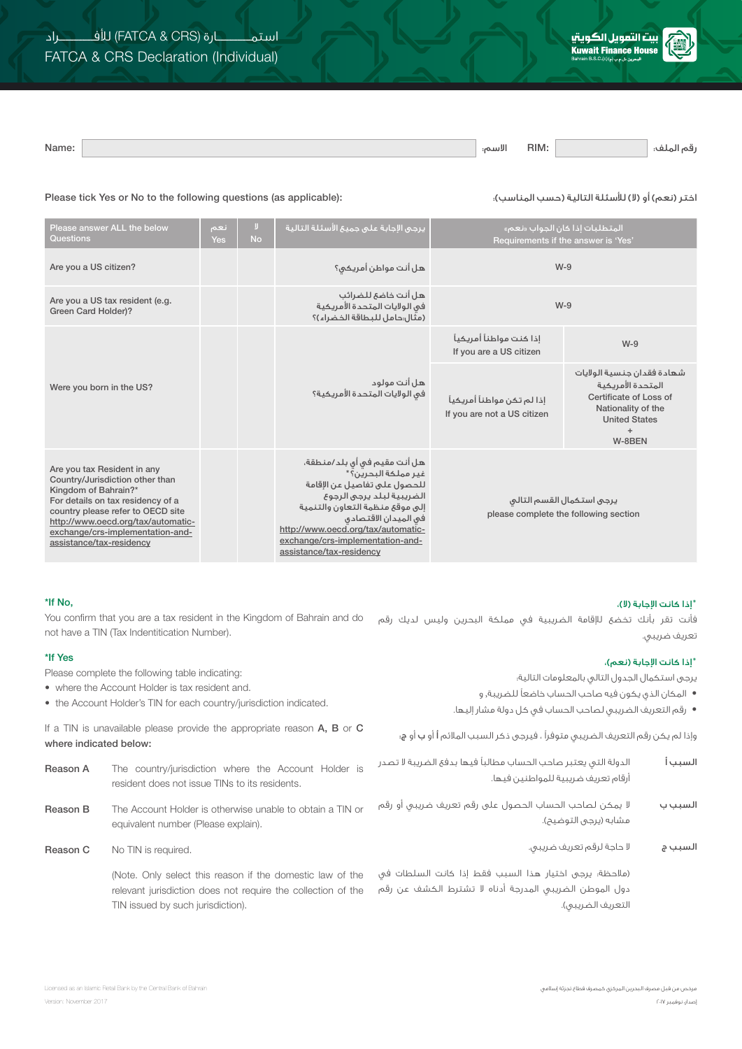

االسم: :Name رقم الملف: :RIM

## Please tick Yes or No to the following questions (as applicable): :)المناسب حسب )التالية لألسئلة( ال )أو( نعم )اختر

| Please answer ALL the below<br>Questions                                                                                                                                                                                                                               | أنعم<br>Yes | IJ.<br><b>No</b> | .<br>يرجى الإجابة على جميع الأسئلة التالية <sup>ا</sup>                                                                                                                                                                                                                           | المتطلبات إذا كان الجواب «نعم»<br>Requirements if the answer is 'Yes' |                                                                                                                                          |  |
|------------------------------------------------------------------------------------------------------------------------------------------------------------------------------------------------------------------------------------------------------------------------|-------------|------------------|-----------------------------------------------------------------------------------------------------------------------------------------------------------------------------------------------------------------------------------------------------------------------------------|-----------------------------------------------------------------------|------------------------------------------------------------------------------------------------------------------------------------------|--|
| Are you a US citizen?                                                                                                                                                                                                                                                  |             |                  | هل أنت مواطن أمريكي؟                                                                                                                                                                                                                                                              | $W-9$                                                                 |                                                                                                                                          |  |
| Are you a US tax resident (e.g.<br>Green Card Holder)?                                                                                                                                                                                                                 |             |                  | هل أنت خاضع للضرائب<br>فى الولايات المتحدة الأمريكية<br>(مثال:حامل للبطاقة الخضراء)؟                                                                                                                                                                                              | $W-9$                                                                 |                                                                                                                                          |  |
|                                                                                                                                                                                                                                                                        |             |                  |                                                                                                                                                                                                                                                                                   | إذا كنت مواطناً أمريكياً<br>If you are a US citizen                   | $W-9$                                                                                                                                    |  |
| Were you born in the US?                                                                                                                                                                                                                                               |             |                  | هل أنت مولود<br>فى الولايات المتحدة الأمريكية؟                                                                                                                                                                                                                                    | إذا لم تكن مواطناً أمريكياً<br>If you are not a US citizen            | شهادة فقدان جنسية الولايات<br>المتحدة الأمريكية<br>Certificate of Loss of<br>Nationality of the<br><b>United States</b><br>$+$<br>W-8BEN |  |
| Are you tax Resident in any<br>Country/Jurisdiction other than<br>Kingdom of Bahrain?*<br>For details on tax residency of a<br>country please refer to OECD site<br>http://www.oecd.org/tax/automatic-<br>exchange/crs-implementation-and-<br>assistance/tax-residency |             |                  | هل أنت مقيم في أي بلد/منطقة،<br>غير مملكة البحرين؟*<br>للحصول على تفاصيل عن الإقامة<br>الضريبية لبلد يرجى الرجوع<br>إلى موقع منظمة التعاون والتنمية<br>فى الميدان الاقتصادي<br>http://www.oecd.org/tax/automatic-<br>exchange/crs-implementation-and-<br>assistance/tax-residency | يرجى استكمال القسم التالى<br>please complete the following section    |                                                                                                                                          |  |

## \*If No,

فأنت تقر بأنك تخضع لإلقامة الضريبية في مملكة البحرين وليس لديك رقم You confirm that you are a tax resident in the Kingdom of Bahrain and do تعريف ضريبي. not have a TIN (Tax Indentitication Number).

| *If Yes                                                                                                                | Please complete the following table indicating:                                                                                                                |                                                                                                                                                                     | *إذا كانت الإجابة (نعم)، |  |
|------------------------------------------------------------------------------------------------------------------------|----------------------------------------------------------------------------------------------------------------------------------------------------------------|---------------------------------------------------------------------------------------------------------------------------------------------------------------------|--------------------------|--|
| • where the Account Holder is tax resident and.<br>• the Account Holder's TIN for each country/jurisdiction indicated. |                                                                                                                                                                | يرجى استكمال الجدول التالى بالمعلومات التالية؛<br>● المكان الذي يكون فيه صاحب الحساب خاضعاً للضريبة, و<br>● رقم التعريف الضريبي لصاحب الحساب في كل دولة مشار إليها. |                          |  |
| where indicated below:                                                                                                 | If a TIN is unavailable please provide the appropriate reason $A$ , $B$ or $C$                                                                                 | وإذا لم يكن رقم التعريف الضريبي متوفراً ، فيرجى ذكر السبب الملائم أ أو ب أو ج:                                                                                      |                          |  |
| Reason A                                                                                                               | The country/jurisdiction where the Account Holder is<br>resident does not issue TINs to its residents.                                                         | الدولة التبى يعتبر صاحب الحساب مطالباً فيها بدفع الضريبة لا تصدر<br>أرقام تعريف ضريبية للمواطنين فيها.                                                              | السبب أ                  |  |
| Reason B                                                                                                               | The Account Holder is otherwise unable to obtain a TIN or<br>equivalent number (Please explain).                                                               | لا يمكن لصاحب الحساب الحصول على رقم تعريف ضريبي أو رقم<br>مشابه (يرجى التوضيح).                                                                                     | السبب ب                  |  |
| Reason C                                                                                                               | No TIN is required.                                                                                                                                            | لا حاجة لرقم تعريف ضريبي.                                                                                                                                           | السبب ج                  |  |
|                                                                                                                        | (Note. Only select this reason if the domestic law of the<br>relevant jurisdiction does not require the collection of the<br>TIN issued by such jurisdiction). | (مالحظة؛ يرجى اختيار هذا السبب فقط إذا كانت السلطات في<br>دول الموطن الضريبي المدرجة أدناه لا تشترط الكشف عن رقم<br>التعريف الضريبي).                               |                          |  |

\*إذا كانت اإلجابة )ال(،